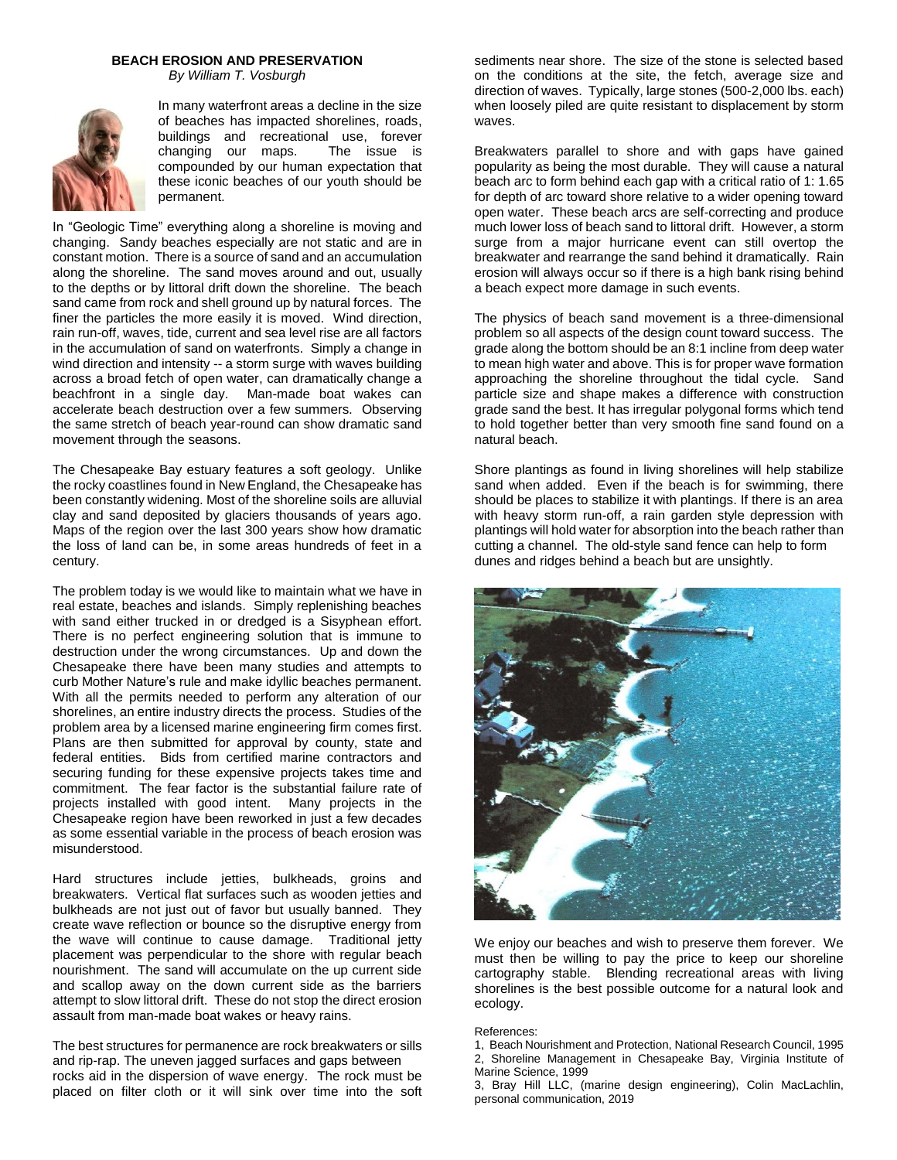## **BEACH EROSION AND PRESERVATION**

*By William T. Vosburgh*



In many waterfront areas a decline in the size of beaches has impacted shorelines, roads, buildings and recreational use, forever<br>changing our maps. The issue is changing our maps. compounded by our human expectation that these iconic beaches of our youth should be permanent.

In "Geologic Time" everything along a shoreline is moving and changing. Sandy beaches especially are not static and are in constant motion. There is a source of sand and an accumulation along the shoreline. The sand moves around and out, usually to the depths or by littoral drift down the shoreline. The beach sand came from rock and shell ground up by natural forces. The finer the particles the more easily it is moved. Wind direction, rain run-off, waves, tide, current and sea level rise are all factors in the accumulation of sand on waterfronts. Simply a change in wind direction and intensity -- a storm surge with waves building across a broad fetch of open water, can dramatically change a beachfront in a single day. Man-made boat wakes can accelerate beach destruction over a few summers. Observing the same stretch of beach year-round can show dramatic sand movement through the seasons.

The Chesapeake Bay estuary features a soft geology. Unlike the rocky coastlines found in New England, the Chesapeake has been constantly widening. Most of the shoreline soils are alluvial clay and sand deposited by glaciers thousands of years ago. Maps of the region over the last 300 years show how dramatic the loss of land can be, in some areas hundreds of feet in a century.

The problem today is we would like to maintain what we have in real estate, beaches and islands. Simply replenishing beaches with sand either trucked in or dredged is a Sisyphean effort. There is no perfect engineering solution that is immune to destruction under the wrong circumstances. Up and down the Chesapeake there have been many studies and attempts to curb Mother Nature's rule and make idyllic beaches permanent. With all the permits needed to perform any alteration of our shorelines, an entire industry directs the process. Studies of the problem area by a licensed marine engineering firm comes first. Plans are then submitted for approval by county, state and federal entities. Bids from certified marine contractors and securing funding for these expensive projects takes time and commitment. The fear factor is the substantial failure rate of projects installed with good intent. Many projects in the Chesapeake region have been reworked in just a few decades as some essential variable in the process of beach erosion was misunderstood.

Hard structures include jetties, bulkheads, groins and breakwaters. Vertical flat surfaces such as wooden jetties and bulkheads are not just out of favor but usually banned. They create wave reflection or bounce so the disruptive energy from the wave will continue to cause damage. Traditional jetty placement was perpendicular to the shore with regular beach nourishment. The sand will accumulate on the up current side and scallop away on the down current side as the barriers attempt to slow littoral drift. These do not stop the direct erosion assault from man-made boat wakes or heavy rains.

The best structures for permanence are rock breakwaters or sills and rip-rap. The uneven jagged surfaces and gaps between rocks aid in the dispersion of wave energy. The rock must be placed on filter cloth or it will sink over time into the soft sediments near shore. The size of the stone is selected based on the conditions at the site, the fetch, average size and direction of waves. Typically, large stones (500-2,000 lbs. each) when loosely piled are quite resistant to displacement by storm waves.

Breakwaters parallel to shore and with gaps have gained popularity as being the most durable. They will cause a natural beach arc to form behind each gap with a critical ratio of 1: 1.65 for depth of arc toward shore relative to a wider opening toward open water. These beach arcs are self-correcting and produce much lower loss of beach sand to littoral drift. However, a storm surge from a major hurricane event can still overtop the breakwater and rearrange the sand behind it dramatically. Rain erosion will always occur so if there is a high bank rising behind a beach expect more damage in such events.

The physics of beach sand movement is a three-dimensional problem so all aspects of the design count toward success. The grade along the bottom should be an 8:1 incline from deep water to mean high water and above. This is for proper wave formation approaching the shoreline throughout the tidal cycle. Sand particle size and shape makes a difference with construction grade sand the best. It has irregular polygonal forms which tend to hold together better than very smooth fine sand found on a natural beach.

Shore plantings as found in living shorelines will help stabilize sand when added. Even if the beach is for swimming, there should be places to stabilize it with plantings. If there is an area with heavy storm run-off, a rain garden style depression with plantings will hold water for absorption into the beach rather than cutting a channel. The old-style sand fence can help to form dunes and ridges behind a beach but are unsightly.



We enjoy our beaches and wish to preserve them forever. We must then be willing to pay the price to keep our shoreline cartography stable. Blending recreational areas with living shorelines is the best possible outcome for a natural look and ecology.

## References:

3, Bray Hill LLC, (marine design engineering), Colin MacLachlin, personal communication, 2019

<sup>1,</sup> Beach Nourishment and Protection, National Research Council, 1995 2, Shoreline Management in Chesapeake Bay, Virginia Institute of Marine Science, 1999